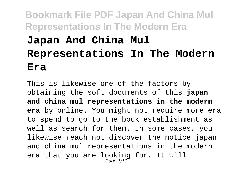# **Bookmark File PDF Japan And China Mul Representations In The Modern Era Japan And China Mul Representations In The Modern Era**

This is likewise one of the factors by obtaining the soft documents of this **japan and china mul representations in the modern era** by online. You might not require more era to spend to go to the book establishment as well as search for them. In some cases, you likewise reach not discover the notice japan and china mul representations in the modern era that you are looking for. It will Page 1/11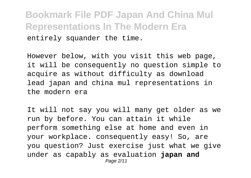**Bookmark File PDF Japan And China Mul Representations In The Modern Era** entirely squander the time.

However below, with you visit this web page, it will be consequently no question simple to acquire as without difficulty as download lead japan and china mul representations in the modern era

It will not say you will many get older as we run by before. You can attain it while perform something else at home and even in your workplace. consequently easy! So, are you question? Just exercise just what we give under as capably as evaluation **japan and** Page 2/11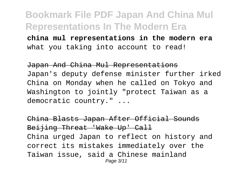**china mul representations in the modern era** what you taking into account to read!

Japan And China Mul Representations Japan's deputy defense minister further irked China on Monday when he called on Tokyo and Washington to jointly "protect Taiwan as a democratic country." ...

China Blasts Japan After Official Sounds Beijing Threat 'Wake Up' Call China urged Japan to reflect on history and correct its mistakes immediately over the Taiwan issue, said a Chinese mainland Page 3/11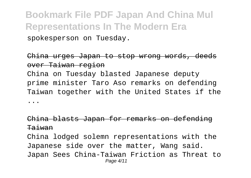**Bookmark File PDF Japan And China Mul Representations In The Modern Era** spokesperson on Tuesday.

#### China urges Japan to stop wrong words, deeds over Taiwan region

China on Tuesday blasted Japanese deputy prime minister Taro Aso remarks on defending Taiwan together with the United States if the ...

### China blasts Japan for remarks on defending Taiwan

China lodged solemn representations with the Japanese side over the matter, Wang said. Japan Sees China-Taiwan Friction as Threat to Page 4/11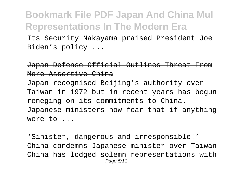Its Security Nakayama praised President Joe Biden's policy ...

#### Japan Defense Official Outlines Threat From More Assertive China

Japan recognised Beijing's authority over Taiwan in 1972 but in recent years has begun reneging on its commitments to China. Japanese ministers now fear that if anything were to ...

'Sinister, dangerous and irresponsible!' China condemns Japanese minister over Taiwan China has lodged solemn representations with Page 5/11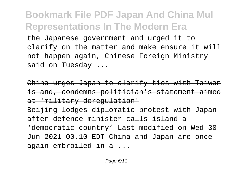the Japanese government and urged it to clarify on the matter and make ensure it will not happen again, Chinese Foreign Ministry said on Tuesday ...

China urges Japan to clarify ties with Taiwan island, condemns politician's statement aimed at 'military deregulation'

Beijing lodges diplomatic protest with Japan after defence minister calls island a 'democratic country' Last modified on Wed 30 Jun 2021 00.10 EDT China and Japan are once again embroiled in a ...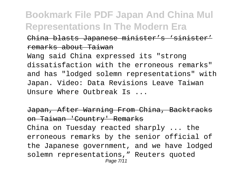### China blasts Japanese minister's 'sinister' remarks about Taiwan

Wang said China expressed its "strong dissatisfaction with the erroneous remarks" and has "lodged solemn representations" with Japan. Video: Data Revisions Leave Taiwan Unsure Where Outbreak Is ...

Japan, After Warning From China, Backtracks on Taiwan 'Country' Remarks China on Tuesday reacted sharply ... the erroneous remarks by the senior official of the Japanese government, and we have lodged solemn representations," Reuters quoted Page 7/11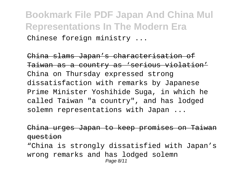**Bookmark File PDF Japan And China Mul Representations In The Modern Era** Chinese foreign ministry ...

China slams Japan's characterisation of Taiwan as a country as 'serious violation' China on Thursday expressed strong dissatisfaction with remarks by Japanese Prime Minister Yoshihide Suga, in which he called Taiwan "a country", and has lodged solemn representations with Japan ...

China urges Japan to keep promises on Taiwan question

"China is strongly dissatisfied with Japan's wrong remarks and has lodged solemn Page 8/11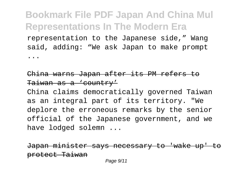representation to the Japanese side," Wang said, adding: "We ask Japan to make prompt ...

### China warns Japan after its PM refers to Taiwan as a 'country'

China claims democratically governed Taiwan as an integral part of its territory. "We deplore the erroneous remarks by the senior official of the Japanese government, and we have lodged solemn ...

Japan minister says necessary to 'wake up' to protect Taiwan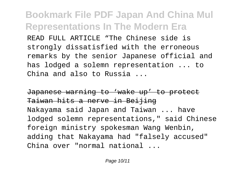READ FULL ARTICLE "The Chinese side is strongly dissatisfied with the erroneous remarks by the senior Japanese official and has lodged a solemn representation ... to China and also to Russia ...

Japanese warning to 'wake up' to protect Taiwan hits a nerve in Beijing Nakayama said Japan and Taiwan ... have lodged solemn representations," said Chinese foreign ministry spokesman Wang Wenbin, adding that Nakayama had "falsely accused" China over "normal national ...